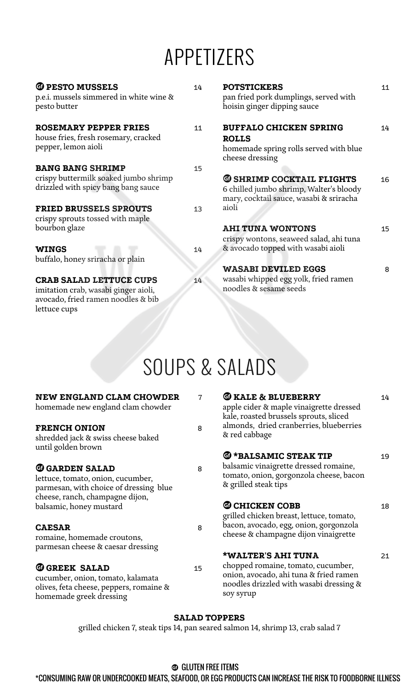# APPETIZERS

| <b>G</b> PESTO MUSSELS<br>p.e.i. mussels simmered in white wine &<br>pesto butter                            | 14 | <b>POTSTICKERS</b><br>pan fried pork dumplings, served with<br>hoisin ginger dipping sauce | 11 |
|--------------------------------------------------------------------------------------------------------------|----|--------------------------------------------------------------------------------------------|----|
| <b>ROSEMARY PEPPER FRIES</b>                                                                                 | 11 | <b>BUFFALO CHICKEN SPRING</b>                                                              | 14 |
| house fries, fresh rosemary, cracked                                                                         |    | <b>ROLLS</b>                                                                               |    |
| pepper, lemon aioli                                                                                          |    | homemade spring rolls served with blue<br>cheese dressing                                  |    |
| <b>BANG BANG SHRIMP</b>                                                                                      | 15 |                                                                                            |    |
| crispy buttermilk soaked jumbo shrimp                                                                        |    | <b>@ SHRIMP COCKTAIL FLIGHTS</b>                                                           | 16 |
| drizzled with spicy bang bang sauce                                                                          |    | 6 chilled jumbo shrimp, Walter's bloody<br>mary, cocktail sauce, wasabi & sriracha         |    |
| <b>FRIED BRUSSELS SPROUTS</b><br>crispy sprouts tossed with maple                                            | 13 | aioli                                                                                      |    |
| bourbon glaze                                                                                                |    | <b>AHI TUNA WONTONS</b><br>crispy wontons, seaweed salad, ahi tuna                         | 15 |
| <b>WINGS</b>                                                                                                 | 14 | & avocado topped with wasabi aioli                                                         |    |
| buffalo, honey sriracha or plain                                                                             |    |                                                                                            |    |
|                                                                                                              |    | <b>WASABI DEVILED EGGS</b>                                                                 | 8  |
| <b>CRAB SALAD LETTUCE CUPS</b><br>imitation crab, wasabi ginger aioli,<br>avocado, fried ramen noodles & bib | 14 | wasabi whipped egg yolk, fried ramen<br>noodles & sesame seeds                             |    |
| lettuce cups                                                                                                 |    |                                                                                            |    |

# SOUPS & SALADS

| <b>NEW ENGLAND CLAM CHOWDER</b><br>homemade new england clam chowder                                                            | $\mathbf 7$ | <b>T</b> KALE & BLUEBERRY<br>apple cider & maple vinaigrette dressed<br>kale, roasted brussels sprouts, sliced                                  | 14 |  |  |  |
|---------------------------------------------------------------------------------------------------------------------------------|-------------|-------------------------------------------------------------------------------------------------------------------------------------------------|----|--|--|--|
| <b>FRENCH ONION</b><br>shredded jack & swiss cheese baked<br>until golden brown                                                 | 8           | almonds, dried cranberries, blueberries<br>& red cabbage                                                                                        |    |  |  |  |
| <b>G GARDEN SALAD</b><br>lettuce, tomato, onion, cucumber,<br>parmesan, with choice of dressing blue                            | 8           | <b><i>G</i></b> *BALSAMIC STEAK TIP<br>balsamic vinaigrette dressed romaine,<br>tomato, onion, gorgonzola cheese, bacon<br>& grilled steak tips | 19 |  |  |  |
| cheese, ranch, champagne dijon,<br>balsamic, honey mustard                                                                      |             | <b>CO CHICKEN COBB</b><br>grilled chicken breast, lettuce, tomato,                                                                              | 18 |  |  |  |
| <b>CAESAR</b><br>romaine, homemade croutons,<br>parmesan cheese & caesar dressing                                               | 8           | bacon, avocado, egg, onion, gorgonzola<br>cheese & champagne dijon vinaigrette                                                                  |    |  |  |  |
|                                                                                                                                 |             | <b>*WALTER'S AHI TUNA</b>                                                                                                                       | 21 |  |  |  |
| <b>G GREEK SALAD</b><br>cucumber, onion, tomato, kalamata<br>olives, feta cheese, peppers, romaine &<br>homemade greek dressing | 15          | chopped romaine, tomato, cucumber,<br>onion, avocado, ahi tuna & fried ramen<br>noodles drizzled with wasabi dressing &<br>soy syrup            |    |  |  |  |
| <b>SALAD TOPPERS</b>                                                                                                            |             |                                                                                                                                                 |    |  |  |  |

grilled chicken 7, steak tips 14, pan seared salmon 14, shrimp 13, crab salad 7

### **<sup>3</sup>** GLUTEN FREE ITEMS

\*CONSUMING RAW OR UNDERCOOKED MEATS, SEAFOOD, OR EGG PRODUCTS CAN INCREASE THE RISK TO FOODBORNE ILLNESS